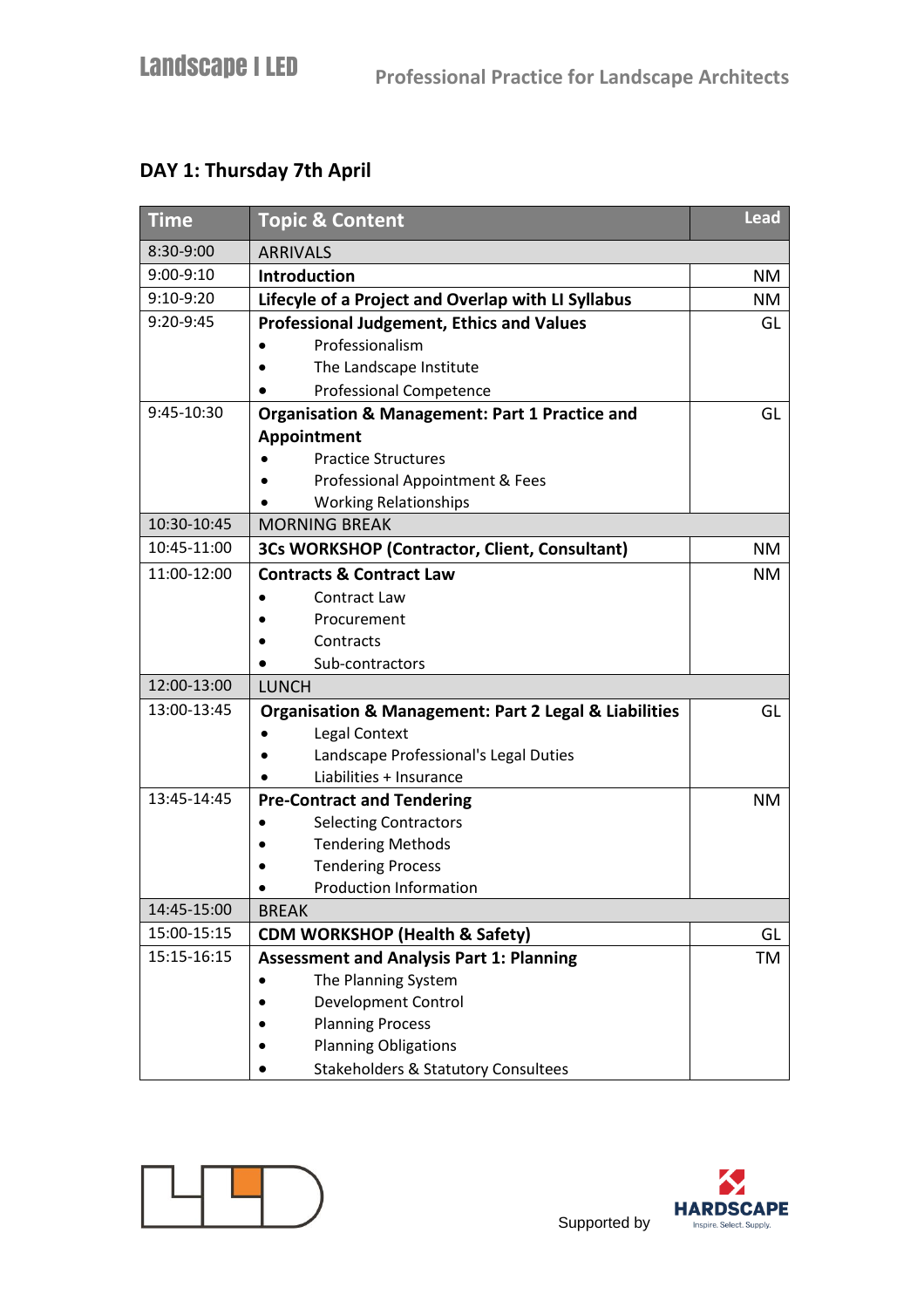## **DAY 1: Thursday 7th April**

| <b>Time</b> | <b>Topic &amp; Content</b>                                           | <b>Lead</b> |
|-------------|----------------------------------------------------------------------|-------------|
| 8:30-9:00   | <b>ARRIVALS</b>                                                      |             |
| 9:00-9:10   | Introduction                                                         | NM          |
| 9:10-9:20   | Lifecyle of a Project and Overlap with LI Syllabus                   | <b>NM</b>   |
| 9:20-9:45   | <b>Professional Judgement, Ethics and Values</b>                     | GL          |
|             | Professionalism                                                      |             |
|             | The Landscape Institute                                              |             |
|             | Professional Competence                                              |             |
| 9:45-10:30  | Organisation & Management: Part 1 Practice and                       | GL          |
|             | Appointment                                                          |             |
|             | <b>Practice Structures</b>                                           |             |
|             | Professional Appointment & Fees                                      |             |
|             | <b>Working Relationships</b>                                         |             |
| 10:30-10:45 | <b>MORNING BREAK</b>                                                 |             |
| 10:45-11:00 | 3Cs WORKSHOP (Contractor, Client, Consultant)                        | NM          |
| 11:00-12:00 | <b>Contracts &amp; Contract Law</b>                                  | NM.         |
|             | Contract Law                                                         |             |
|             | Procurement                                                          |             |
|             | Contracts                                                            |             |
|             | Sub-contractors                                                      |             |
| 12:00-13:00 | <b>LUNCH</b>                                                         |             |
| 13:00-13:45 | <b>Organisation &amp; Management: Part 2 Legal &amp; Liabilities</b> | GL          |
|             | Legal Context                                                        |             |
|             | Landscape Professional's Legal Duties                                |             |
|             | Liabilities + Insurance                                              |             |
| 13:45-14:45 | <b>Pre-Contract and Tendering</b>                                    | <b>NM</b>   |
|             | <b>Selecting Contractors</b>                                         |             |
|             | <b>Tendering Methods</b>                                             |             |
|             | <b>Tendering Process</b>                                             |             |
|             | <b>Production Information</b>                                        |             |
| 14:45-15:00 | <b>BREAK</b>                                                         |             |
| 15:00-15:15 | <b>CDM WORKSHOP (Health &amp; Safety)</b>                            | GL          |
| 15:15-16:15 | <b>Assessment and Analysis Part 1: Planning</b>                      | TM          |
|             | The Planning System                                                  |             |
|             | Development Control                                                  |             |
|             | <b>Planning Process</b>                                              |             |
|             | <b>Planning Obligations</b>                                          |             |
|             | <b>Stakeholders &amp; Statutory Consultees</b>                       |             |





Supported by